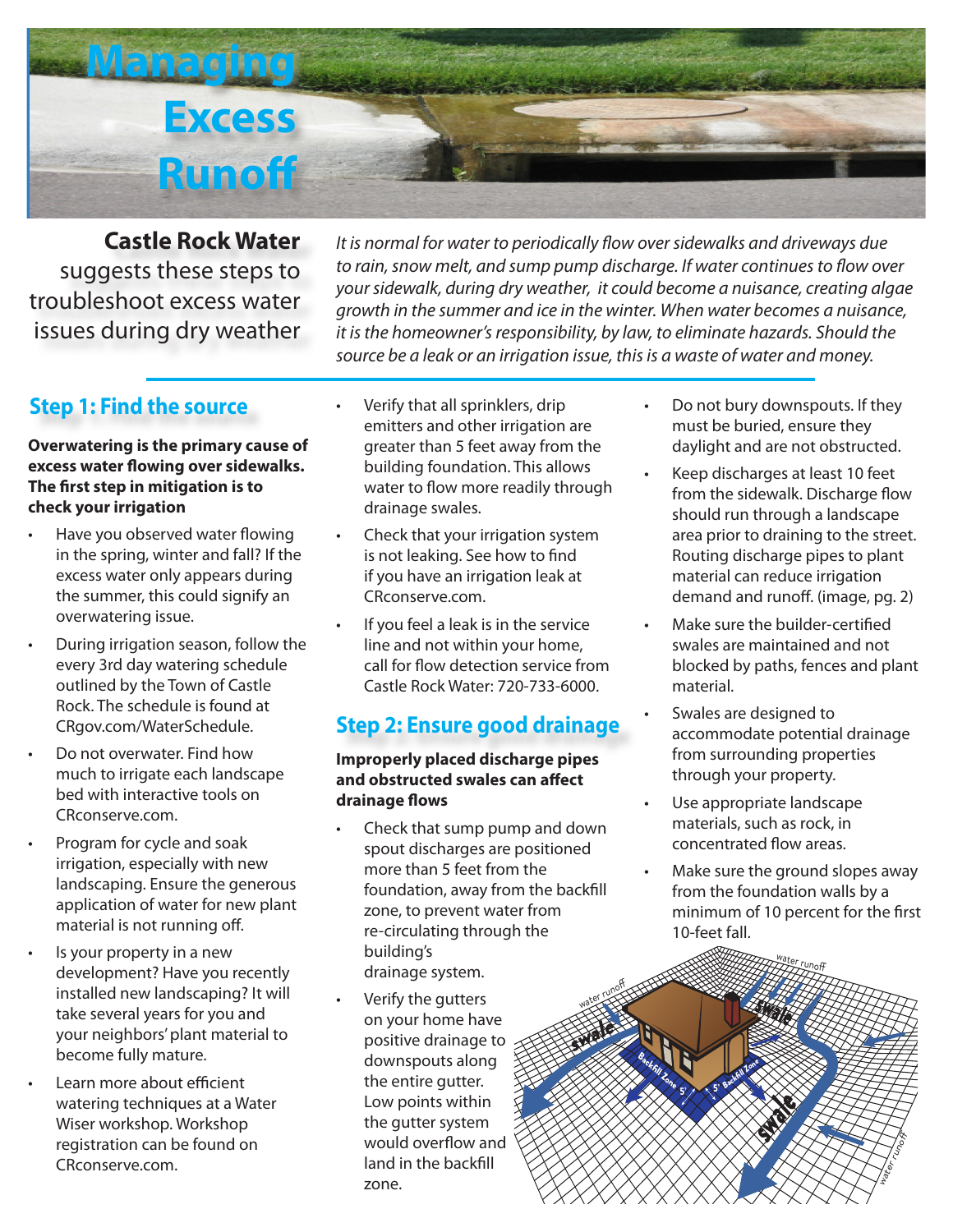

**Castle Rock Water**  suggests these steps to troubleshoot excess water issues during dry weather

*It is normal for water to periodically flow over sidewalks and driveways due to rain, snow melt, and sump pump discharge. If water continues to flow over your sidewalk, during dry weather, it could become a nuisance, creating algae growth in the summer and ice in the winter. When water becomes a nuisance, it is the homeowner's responsibility, by law, to eliminate hazards. Should the source be a leak or an irrigation issue, this is a waste of water and money.*

## **Step 1: Find the source**

#### **Overwatering is the primary cause of excess water flowing over sidewalks. The first step in mitigation is to check your irrigation**

- Have you observed water flowing in the spring, winter and fall? If the excess water only appears during the summer, this could signify an overwatering issue.
- During irrigation season, follow the every 3rd day watering schedule outlined by the Town of Castle Rock. The schedule is found at CRgov.com/WaterSchedule.
- Do not overwater. Find how much to irrigate each landscape bed with interactive tools on CRconserve.com.
- Program for cycle and soak irrigation, especially with new landscaping. Ensure the generous application of water for new plant material is not running off.
- Is your property in a new development? Have you recently installed new landscaping? It will take several years for you and your neighbors' plant material to become fully mature.
- Learn more about efficient watering techniques at a Water Wiser workshop. Workshop registration can be found on CRconserve.com.
- Verify that all sprinklers, drip emitters and other irrigation are greater than 5 feet away from the building foundation. This allows water to flow more readily through drainage swales.
- Check that your irrigation system is not leaking. See how to find if you have an irrigation leak at CRconserve.com.
- If you feel a leak is in the service line and not within your home, call for flow detection service from Castle Rock Water: 720-733-6000.

# **Step 2: Ensure good drainage**

#### **Improperly placed discharge pipes and obstructed swales can affect drainage flows**

• Check that sump pump and down spout discharges are positioned more than 5 feet from the foundation, away from the backfill zone, to prevent water from re-circulating through the building's drainage system.

swale

water runoff

Verify the gutters on your home have positive drainage to downspouts along the entire gutter. Low points within the gutter system would overflow and land in the backfill zone.

- Do not bury downspouts. If they must be buried, ensure they daylight and are not obstructed.
- Keep discharges at least 10 feet from the sidewalk. Discharge flow should run through a landscape area prior to draining to the street. Routing discharge pipes to plant material can reduce irrigation demand and runoff. (image, pg. 2)
- Make sure the builder-certified swales are maintained and not blocked by paths, fences and plant material.
- Swales are designed to accommodate potential drainage from surrounding properties through your property.
- Use appropriate landscape materials, such as rock, in concentrated flow areas.
- Make sure the ground slopes away from the foundation walls by a minimum of 10 percent for the first 10-feet fall.

water runoff<br>ZZZ Lunoff

swale

5' X

Backfill Zone

**Backfill Zone** 

water Lines